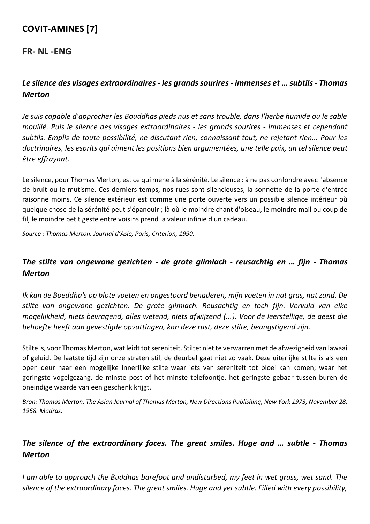# **COVIT-AMINES [7]**

#### **FR- NL -ENG**

# *Le silence des visages extraordinaires - les grands sourires - immenses et … subtils - Thomas Merton*

*Je suis capable d'approcher les Bouddhas pieds nus et sans trouble, dans l'herbe humide ou le sable mouillé. Puis le silence des visages extraordinaires - les grands sourires - immenses et cependant subtils. Emplis de toute possibilité, ne discutant rien, connaissant tout, ne rejetant rien... Pour les doctrinaires, les esprits qui aiment les positions bien argumentées, une telle paix, un tel silence peut être effrayant.*

Le silence, pour Thomas Merton, est ce qui mène à la sérénité. Le silence : à ne pas confondre avec l'absence de bruit ou le mutisme. Ces derniers temps, nos rues sont silencieuses, la sonnette de la porte d'entrée raisonne moins. Ce silence extérieur est comme une porte ouverte vers un possible silence intérieur où quelque chose de la sérénité peut s'épanouir ; là où le moindre chant d'oiseau, le moindre mail ou coup de fil, le moindre petit geste entre voisins prend la valeur infinie d'un cadeau.

*Source : Thomas Merton, Journal d'Asie, Paris, Criterion, 1990.*

### *The stilte van ongewone gezichten - de grote glimlach - reusachtig en … fijn - Thomas Merton*

*Ik kan de Boeddha's op blote voeten en ongestoord benaderen, mijn voeten in nat gras, nat zand. De stilte van ongewone gezichten. De grote glimlach. Reusachtig en toch fijn. Vervuld van elke mogelijkheid, niets bevragend, alles wetend, niets afwijzend (...). Voor de leerstellige, de geest die behoefte heeft aan gevestigde opvattingen, kan deze rust, deze stilte, beangstigend zijn.*

Stilte is, voor Thomas Merton, wat leidt tot sereniteit. Stilte: niet te verwarren met de afwezigheid van lawaai of geluid. De laatste tijd zijn onze straten stil, de deurbel gaat niet zo vaak. Deze uiterlijke stilte is als een open deur naar een mogelijke innerlijke stilte waar iets van sereniteit tot bloei kan komen; waar het geringste vogelgezang, de minste post of het minste telefoontje, het geringste gebaar tussen buren de oneindige waarde van een geschenk krijgt.

*Bron: Thomas Merton, The Asian Journal of Thomas Merton, New Directions Publishing, New York 1973, November 28, 1968. Madras.*

# *The silence of the extraordinary faces. The great smiles. Huge and … subtle - Thomas Merton*

*I am able to approach the Buddhas barefoot and undisturbed, my feet in wet grass, wet sand. The silence of the extraordinary faces. The great smiles. Huge and yet subtle. Filled with every possibility,*